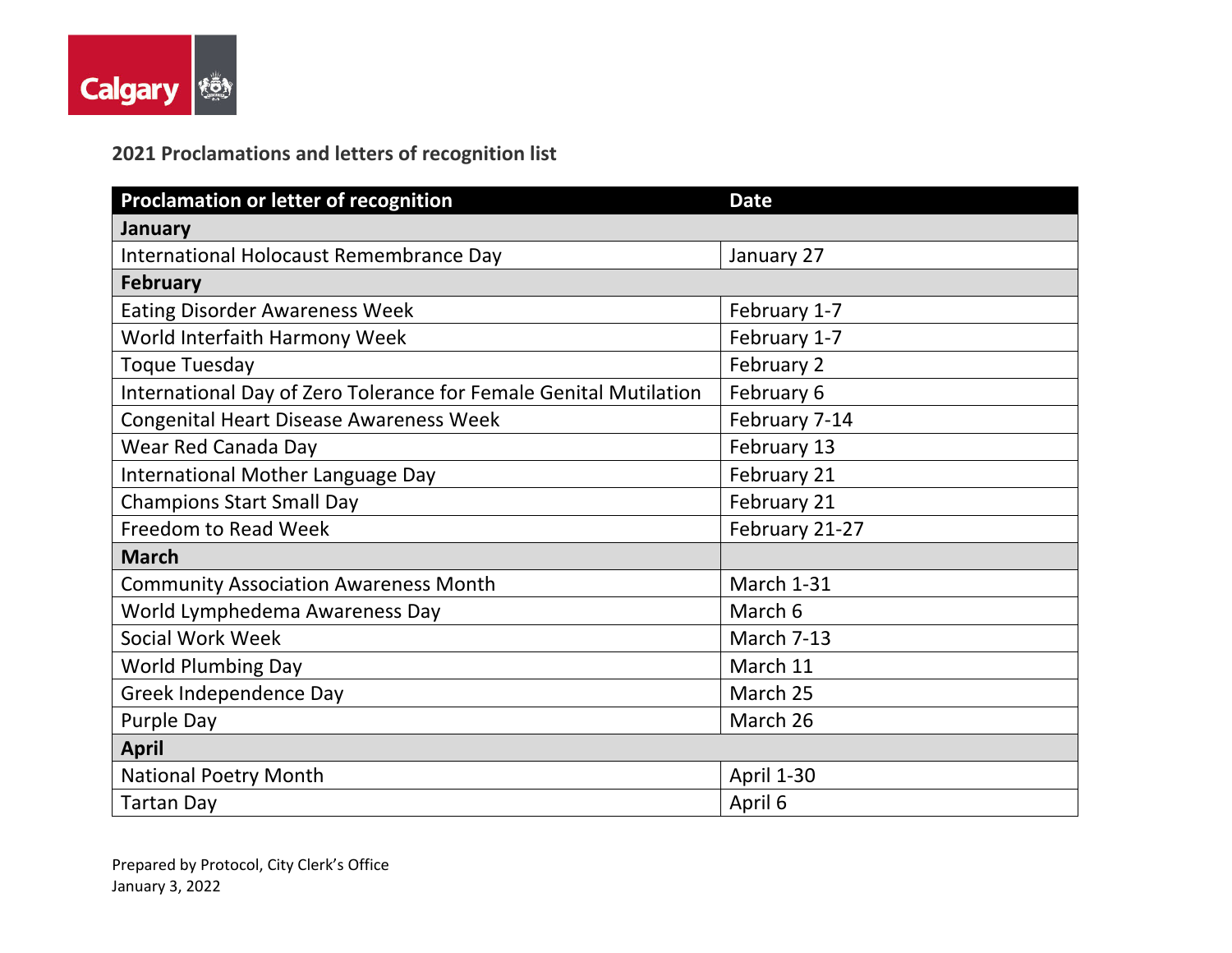

## **2021 Proclamations and letters of recognition list**

| <b>Proclamation or letter of recognition</b>                      | <b>Date</b>       |
|-------------------------------------------------------------------|-------------------|
| January                                                           |                   |
| International Holocaust Remembrance Day                           | January 27        |
| <b>February</b>                                                   |                   |
| <b>Eating Disorder Awareness Week</b>                             | February 1-7      |
| World Interfaith Harmony Week                                     | February 1-7      |
| <b>Toque Tuesday</b>                                              | February 2        |
| International Day of Zero Tolerance for Female Genital Mutilation | February 6        |
| Congenital Heart Disease Awareness Week                           | February 7-14     |
| Wear Red Canada Day                                               | February 13       |
| International Mother Language Day                                 | February 21       |
| <b>Champions Start Small Day</b>                                  | February 21       |
| <b>Freedom to Read Week</b>                                       | February 21-27    |
| <b>March</b>                                                      |                   |
| <b>Community Association Awareness Month</b>                      | March 1-31        |
| World Lymphedema Awareness Day                                    | March 6           |
| Social Work Week                                                  | March 7-13        |
| <b>World Plumbing Day</b>                                         | March 11          |
| Greek Independence Day                                            | March 25          |
| Purple Day                                                        | March 26          |
| <b>April</b>                                                      |                   |
| <b>National Poetry Month</b>                                      | <b>April 1-30</b> |
| <b>Tartan Day</b>                                                 | April 6           |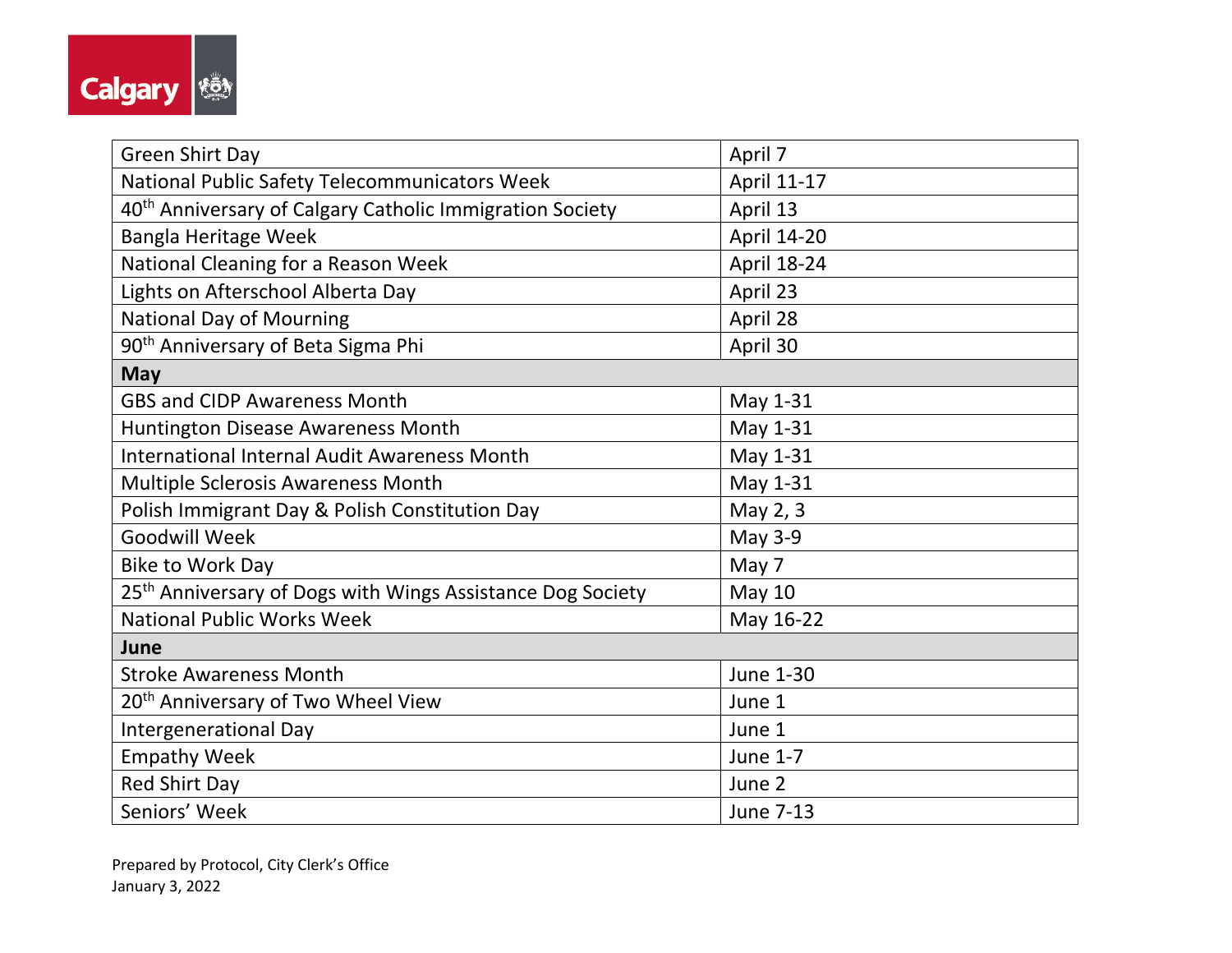

| <b>Green Shirt Day</b>                                                 | April 7            |
|------------------------------------------------------------------------|--------------------|
| National Public Safety Telecommunicators Week                          | April 11-17        |
| 40 <sup>th</sup> Anniversary of Calgary Catholic Immigration Society   | April 13           |
| <b>Bangla Heritage Week</b>                                            | April 14-20        |
| National Cleaning for a Reason Week                                    | <b>April 18-24</b> |
| Lights on Afterschool Alberta Day                                      | April 23           |
| <b>National Day of Mourning</b>                                        | April 28           |
| 90 <sup>th</sup> Anniversary of Beta Sigma Phi                         | April 30           |
| <b>May</b>                                                             |                    |
| <b>GBS and CIDP Awareness Month</b>                                    | May 1-31           |
| Huntington Disease Awareness Month                                     | May 1-31           |
| <b>International Internal Audit Awareness Month</b>                    | May 1-31           |
| Multiple Sclerosis Awareness Month                                     | May 1-31           |
| Polish Immigrant Day & Polish Constitution Day                         | May 2, 3           |
| <b>Goodwill Week</b>                                                   | May 3-9            |
| <b>Bike to Work Day</b>                                                | May 7              |
| 25 <sup>th</sup> Anniversary of Dogs with Wings Assistance Dog Society | <b>May 10</b>      |
| <b>National Public Works Week</b>                                      | May 16-22          |
| June                                                                   |                    |
| <b>Stroke Awareness Month</b>                                          | June 1-30          |
| 20 <sup>th</sup> Anniversary of Two Wheel View                         | June 1             |
| Intergenerational Day                                                  | June 1             |
| <b>Empathy Week</b>                                                    | June 1-7           |
| <b>Red Shirt Day</b>                                                   | June 2             |
| Seniors' Week                                                          | <b>June 7-13</b>   |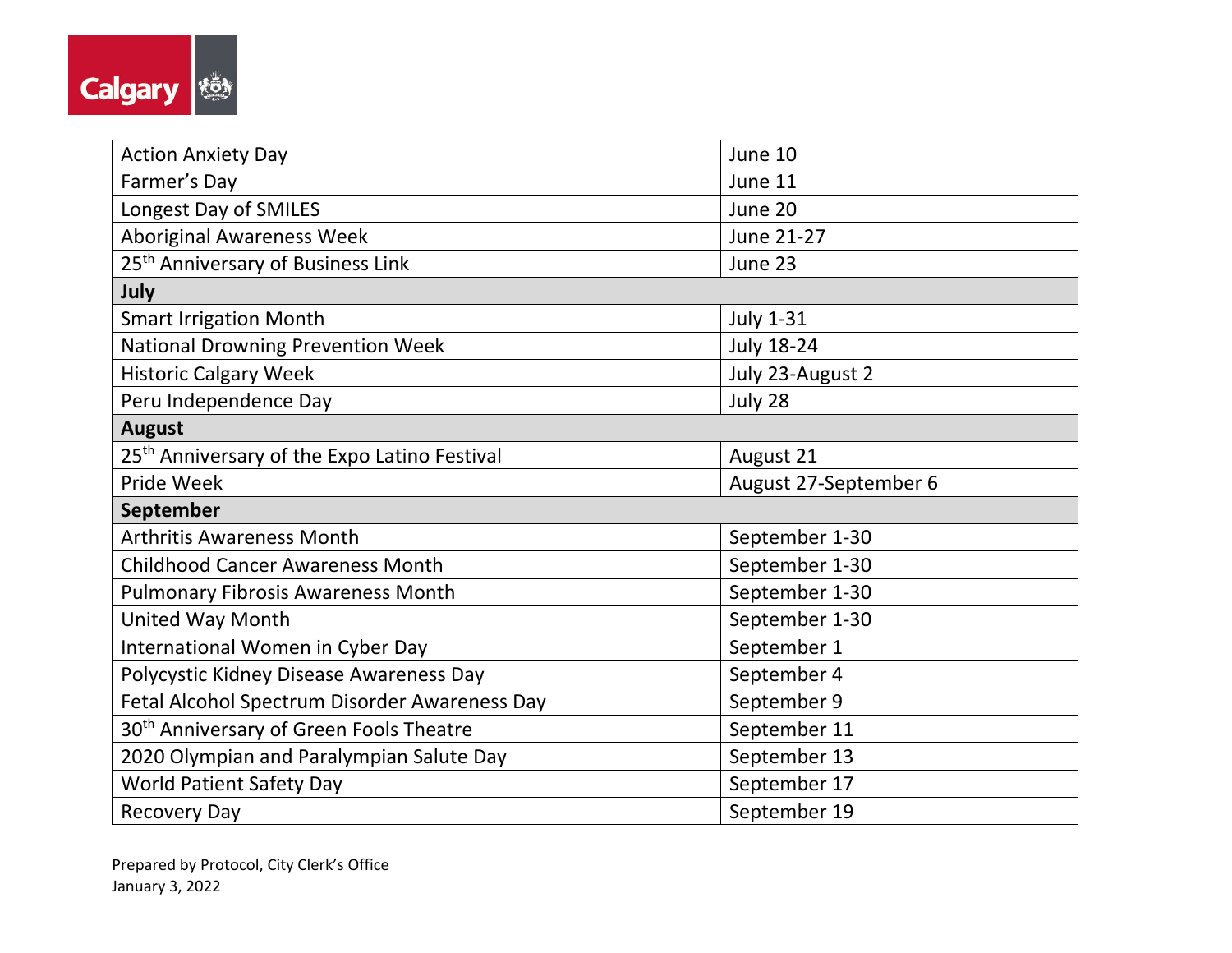

| <b>Action Anxiety Day</b>                                | June 10               |  |
|----------------------------------------------------------|-----------------------|--|
| Farmer's Day                                             | June 11               |  |
| Longest Day of SMILES                                    | June 20               |  |
| <b>Aboriginal Awareness Week</b>                         | June 21-27            |  |
| 25 <sup>th</sup> Anniversary of Business Link            | June 23               |  |
| July                                                     |                       |  |
| <b>Smart Irrigation Month</b>                            | <b>July 1-31</b>      |  |
| National Drowning Prevention Week                        | <b>July 18-24</b>     |  |
| <b>Historic Calgary Week</b>                             | July 23-August 2      |  |
| Peru Independence Day                                    | July 28               |  |
| <b>August</b>                                            |                       |  |
| 25 <sup>th</sup> Anniversary of the Expo Latino Festival | August 21             |  |
| Pride Week                                               | August 27-September 6 |  |
| September                                                |                       |  |
| <b>Arthritis Awareness Month</b>                         | September 1-30        |  |
| <b>Childhood Cancer Awareness Month</b>                  | September 1-30        |  |
| <b>Pulmonary Fibrosis Awareness Month</b>                | September 1-30        |  |
| United Way Month                                         | September 1-30        |  |
| International Women in Cyber Day                         | September 1           |  |
| Polycystic Kidney Disease Awareness Day                  | September 4           |  |
| Fetal Alcohol Spectrum Disorder Awareness Day            | September 9           |  |
| 30 <sup>th</sup> Anniversary of Green Fools Theatre      | September 11          |  |
| 2020 Olympian and Paralympian Salute Day                 | September 13          |  |
| <b>World Patient Safety Day</b>                          | September 17          |  |
| <b>Recovery Day</b>                                      | September 19          |  |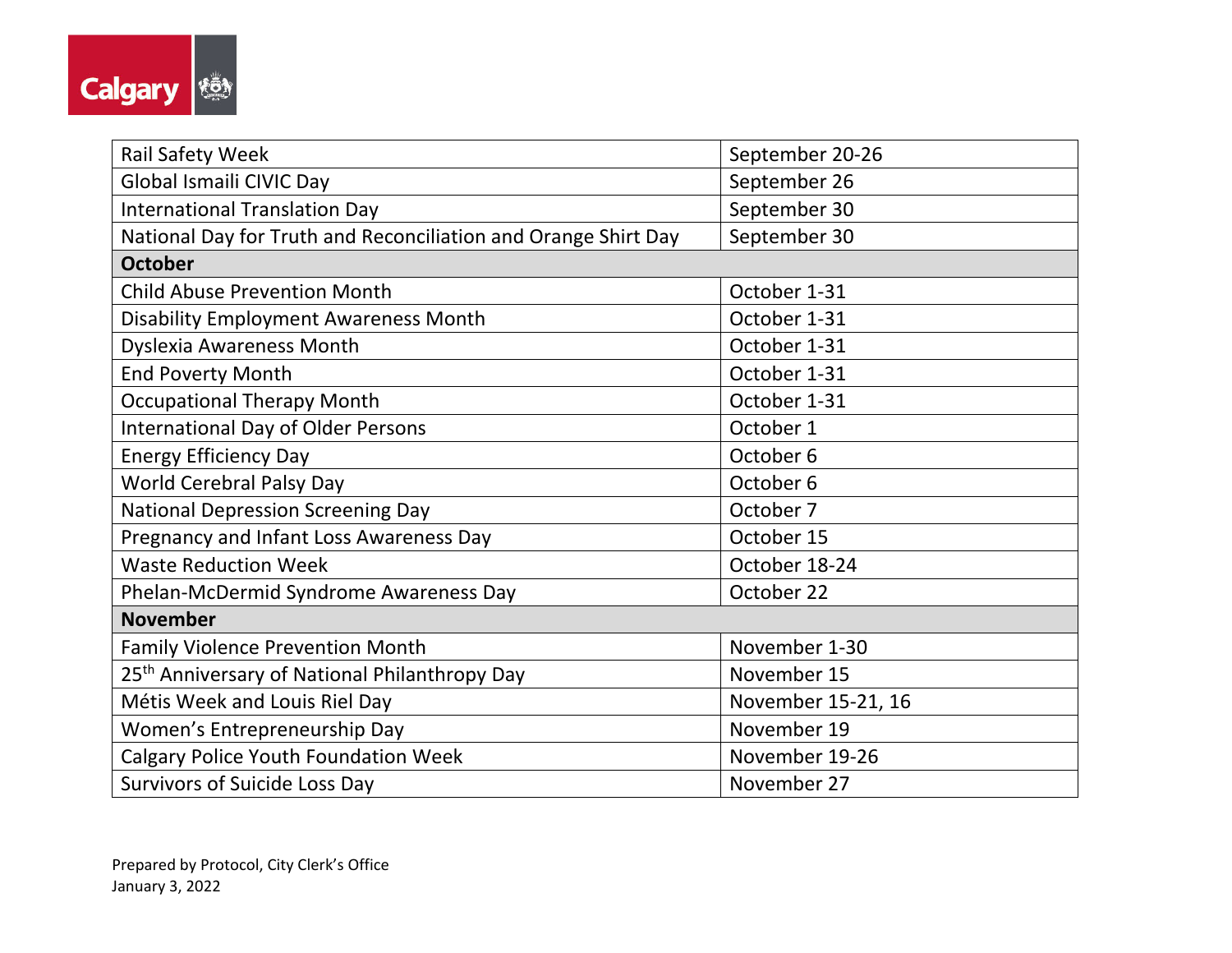

| <b>Rail Safety Week</b>                                        | September 20-26    |  |
|----------------------------------------------------------------|--------------------|--|
| Global Ismaili CIVIC Day                                       | September 26       |  |
| <b>International Translation Day</b>                           | September 30       |  |
| National Day for Truth and Reconciliation and Orange Shirt Day | September 30       |  |
| <b>October</b>                                                 |                    |  |
| <b>Child Abuse Prevention Month</b>                            | October 1-31       |  |
| <b>Disability Employment Awareness Month</b>                   | October 1-31       |  |
| <b>Dyslexia Awareness Month</b>                                | October 1-31       |  |
| <b>End Poverty Month</b>                                       | October 1-31       |  |
| <b>Occupational Therapy Month</b>                              | October 1-31       |  |
| <b>International Day of Older Persons</b>                      | October 1          |  |
| <b>Energy Efficiency Day</b>                                   | October 6          |  |
| <b>World Cerebral Palsy Day</b>                                | October 6          |  |
| <b>National Depression Screening Day</b>                       | October 7          |  |
| Pregnancy and Infant Loss Awareness Day                        | October 15         |  |
| <b>Waste Reduction Week</b>                                    | October 18-24      |  |
| Phelan-McDermid Syndrome Awareness Day                         | October 22         |  |
| <b>November</b>                                                |                    |  |
| <b>Family Violence Prevention Month</b>                        | November 1-30      |  |
| 25 <sup>th</sup> Anniversary of National Philanthropy Day      | November 15        |  |
| Métis Week and Louis Riel Day                                  | November 15-21, 16 |  |
| Women's Entrepreneurship Day                                   | November 19        |  |
| <b>Calgary Police Youth Foundation Week</b>                    | November 19-26     |  |
| Survivors of Suicide Loss Day                                  | November 27        |  |